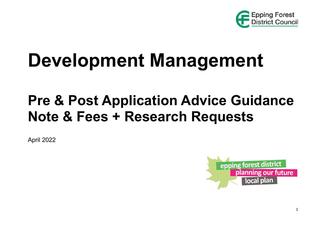

# **Development Management**

## **Pre & Post Application Advice Guidance Note & Fees + Research Requests**

April 2022

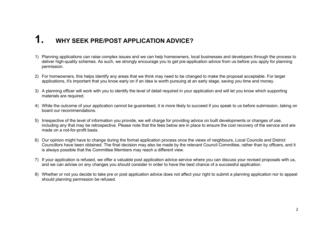#### **1. WHY SEEK PRE/POST APPLICATION ADVICE?**

- 1) Planning applications can raise complex issues and we can help homeowners, local businesses and developers through the process to deliver high-quality schemes. As such, we strongly encourage you to get pre-application advice from us before you apply for planning permission.
- 2) For homeowners, this helps identify any areas that we think may need to be changed to make the proposal acceptable. For larger applications, it's important that you know early on if an idea is worth pursuing at an early stage, saving you time and money.
- 3) A planning officer will work with you to identify the level of detail required in your application and will let you know which supporting materials are required.
- 4) While the outcome of your application cannot be guaranteed, it is more likely to succeed if you speak to us before submission, taking on board our recommendations.
- 5) Irrespective of the level of information you provide, we will charge for providing advice on built developments or changes of use, including any that may be retrospective. Please note that the fees below are in place to ensure the cost recovery of the service and are made on a not-for-profit basis.
- 6) Our opinion might have to change during the formal application process once the views of neighbours, Local Councils and District Councillors have been obtained. The final decision may also be made by the relevant Council Committee, rather than by officers, and it is always possible that the Committee Members may reach a different view.
- 7) If your application is refused, we offer a valuable post application advice service where you can discuss your revised proposals with us, and we can advise on any changes you should consider in order to have the best chance of a successful application.
- 8) Whether or not you decide to take pre or post application advice does not affect your right to submit a planning application nor to appeal should planning permission be refused.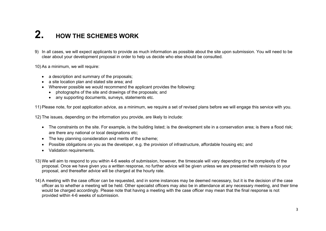#### **2. HOW THE SCHEMES WORK**

9) In all cases, we will expect applicants to provide as much information as possible about the site upon submission. You will need to be clear about your development proposal in order to help us decide who else should be consulted.

10) As a minimum, we will require:

- a description and summary of the proposals;
- a site location plan and stated site area; and
- Wherever possible we would recommend the applicant provides the following:
	- photographs of the site and drawings of the proposals; and
	- any supporting documents, surveys, statements etc.

11) Please note, for post application advice, as a minimum, we require a set of revised plans before we will engage this service with you.

12) The issues, depending on the information you provide, are likely to include:

- The constraints on the site. For example, is the building listed; is the development site in a conservation area; is there a flood risk; are there any national or local designations etc;
- The key planning consideration and merits of the scheme;
- Possible obligations on you as the developer, e.g. the provision of infrastructure, affordable housing etc; and
- Validation requirements.
- 13) We will aim to respond to you within 4-6 weeks of submission, however, the timescale will vary depending on the complexity of the proposal. Once we have given you a written response, no further advice will be given unless we are presented with revisions to your proposal, and thereafter advice will be charged at the hourly rate.
- 14) A meeting with the case officer can be requested, and in some instances may be deemed necessary, but it is the decision of the case officer as to whether a meeting will be held. Other specialist officers may also be in attendance at any necessary meeting, and their time would be charged accordingly. Please note that having a meeting with the case officer may mean that the final response is not provided within 4-6 weeks of submission.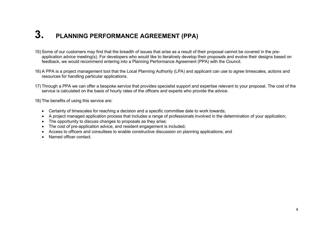#### **3. PLANNING PERFORMANCE AGREEMENT (PPA)**

- 15) Some of our customers may find that the breadth of issues that arise as a result of their proposal cannot be covered in the preapplication advice meeting(s). For developers who would like to iteratively develop their proposals and evolve their designs based on feedback, we would recommend entering into a Planning Performance Agreement (PPA) with the Council.
- 16) A PPA is a project management tool that the Local Planning Authority (LPA) and applicant can use to agree timescales, actions and resources for handling particular applications.
- 17) Through a PPA we can offer a bespoke service that provides specialist support and expertise relevant to your proposal. The cost of the service is calculated on the basis of hourly rates of the officers and experts who provide the advice.

18) The benefits of using this service are:

- Certainty of timescales for reaching a decision and a specific committee date to work towards;
- A project managed application process that includes a range of professionals involved in the determination of your application;
- The opportunity to discuss changes to proposals as they arise;
- The cost of pre-application advice, and resident engagement is included;
- Access to officers and consultees to enable constructive discussion on planning applications; and
- Named officer contact.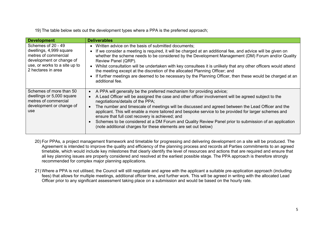19) The table below sets out the development types where a PPA is the preferred approach;

| <b>Development</b>                                                                                                                                       | <b>Deliverables</b>                                                                                                                                                                                                                                                                                                                                                                                                                                                                                                                                                                                                                                                                                   |
|----------------------------------------------------------------------------------------------------------------------------------------------------------|-------------------------------------------------------------------------------------------------------------------------------------------------------------------------------------------------------------------------------------------------------------------------------------------------------------------------------------------------------------------------------------------------------------------------------------------------------------------------------------------------------------------------------------------------------------------------------------------------------------------------------------------------------------------------------------------------------|
| Schemes of 20 - 49<br>dwellings, 4,999 square<br>metres of commercial<br>development or change of<br>use, or works to a site up to<br>2 hectares in area | • Written advice on the basis of submitted documents;<br>• If we consider a meeting is required, it will be charged at an additional fee, and advice will be given on<br>whether the scheme needs to be considered by the Development Management (DM) Forum and/or Quality<br>Review Panel (QRP).<br>• Whilst consultation will be undertaken with key consultees it is unlikely that any other officers would attend<br>the meeting except at the discretion of the allocated Planning Officer; and<br>If further meetings are deemed to be necessary by the Planning Officer, then these would be charged at an<br>additional fee.                                                                  |
| Schemes of more than 50<br>dwellings or 5,000 square<br>metres of commercial<br>development or change of<br>use                                          | A PPA will generally be the preferred mechanism for providing advice;<br>$\bullet$<br>A Lead Officer will be assigned the case and other officer involvement will be agreed subject to the<br>$\bullet$<br>negotiations/details of the PPA;<br>The number and timescale of meetings will be discussed and agreed between the Lead Officer and the<br>$\bullet$<br>applicant. This will enable a more tailored and bespoke service to be provided for larger schemes and<br>ensure that full cost recovery is achieved; and<br>Schemes to be considered at a DM Forum and Quality Review Panel prior to submission of an application<br>(note additional charges for these elements are set out below) |

- 20) For PPAs, a project management framework and timetable for progressing and delivering development on a site will be produced. The Agreement is intended to improve the quality and efficiency of the planning process and records all Parties commitments to an agreed timetable, which would include key milestones that clearly identify the level of resources and actions that are required and ensure that all key planning issues are properly considered and resolved at the earliest possible stage. The PPA approach is therefore strongly recommended for complex major planning applications.
- 21) Where a PPA is not utilised, the Council will still negotiate and agree with the applicant a suitable pre-application approach (including fees) that allows for multiple meetings, additional officer time, and further work. This will be agreed in writing with the allocated Lead Officer prior to any significant assessment taking place on a submission and would be based on the hourly rate.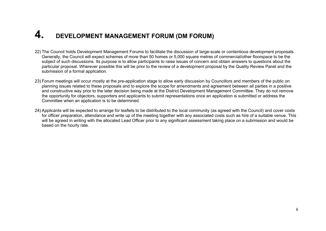#### **4. DEVELOPMENT MANAGEMENT FORUM (DM FORUM)**

- 22) The Council holds Development Management Forums to facilitate the discussion of large-scale or contentious development proposals. Generally, the Council will expect schemes of more than 50 homes or 5,000 square metres of commercial/other floorspace to be the subject of such discussions. Its purpose is to allow participants to raise issues of concern and obtain answers to questions about the particular proposal. Wherever possible this will be prior to the review of a development proposal by the Quality Review Panel and the submission of a formal application.
- 23) Forum meetings will occur mostly at the pre-application stage to allow early discussion by Councillors and members of the public on planning issues related to these proposals and to explore the scope for amendments and agreement between all parties in a positive and constructive way prior to the later decision being made at the District Development Management Committee. They do not remove the opportunity for objectors, supporters and applicants to submit representations once an application is submitted or address the Committee when an application is to be determined.
- 24) Applicants will be expected to arrange for leaflets to be distributed to the local community (as agreed with the Council) and cover costs for officer preparation, attendance and write up of the meeting together with any associated costs such as hire of a suitable venue. This will be agreed in writing with the allocated Lead Officer prior to any significant assessment taking place on a submission and would be based on the hourly rate.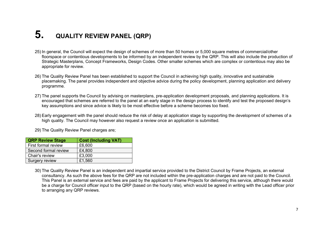#### **5. QUALITY REVIEW PANEL (QRP)**

- 25) In general, the Council will expect the design of schemes of more than 50 homes or 5,000 square metres of commercial/other floorspace or contentious developments to be informed by an independent review by the QRP. This will also include the production of Strategic Masterplans, Concept Frameworks, Design Codes. Other smaller schemes which are complex or contentious may also be appropriate for review.
- 26) The Quality Review Panel has been established to support the Council in achieving high quality, innovative and sustainable placemaking. The panel provides independent and objective advice during the policy development, planning application and delivery programme.
- 27) The panel supports the Council by advising on masterplans, pre-application development proposals, and planning applications. It is encouraged that schemes are referred to the panel at an early stage in the design process to identify and test the proposed design's key assumptions and since advice is likely to be most effective before a scheme becomes too fixed.
- 28) Early engagement with the panel should reduce the risk of delay at application stage by supporting the development of schemes of a high quality. The Council may however also request a review once an application is submitted.

29) The Quality Review Panel charges are;

| <b>QRP Review Stage</b> | <b>Cost (Including VAT)</b> |  |
|-------------------------|-----------------------------|--|
| First formal review     | £6,600                      |  |
| Second formal review    | £4,800                      |  |
| Chair's review          | £3,000                      |  |
| <b>Surgery review</b>   | £1,560                      |  |

30) The Quality Review Panel is an independent and impartial service provided to the District Council by Frame Projects, an external consultancy. As such the above fees for the QRP are not included within the pre-application charges and are not paid to the Council. This Panel is an external service and fees are paid by the applicant to Frame Projects for delivering this service, although there would be a charge for Council officer input to the QRP (based on the hourly rate), which would be agreed in writing with the Lead officer prior to arranging any QRP reviews.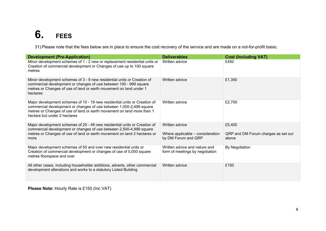### **6. FEES**

31) Please note that the fees below are in place to ensure the cost recovery of the service and are made on a not-for-profit basis;

| <b>Development (Pre-Application)</b>                                                                                                                                                                                                                       | <b>Deliverables</b>                                                       | <b>Cost (Including VAT)</b>                            |
|------------------------------------------------------------------------------------------------------------------------------------------------------------------------------------------------------------------------------------------------------------|---------------------------------------------------------------------------|--------------------------------------------------------|
| Minor development schemes of 1 - 2 new or replacement residential units or<br>Creation of commercial development or Changes of use up to 100 square<br>metres                                                                                              | Written advice                                                            | £450                                                   |
| Minor development schemes of 3 - 9 new residential units or Creation of<br>commercial development or changes of use between 100 - 999 square<br>metres or Changes of use of land or earth movement on land under 1<br>hectares                             | Written advice                                                            | £1,350                                                 |
| Major development schemes of 10 - 19 new residential units or Creation of<br>commercial development or changes of use between 1,000-2,499 square<br>metres or Changes of use of land or earth movement on land more than 1<br>hectare but under 2 hectares | Written advice                                                            | £2,700                                                 |
| Major development schemes of 20 - 49 new residential units or Creation of<br>commercial development or changes of use between 2,500-4,999 square<br>metres or Changes of use of land or earth movement on land 2 hectares or<br>more                       | Written advice<br>Where applicable - consideration<br>by DM Forum and QRP | £5,400<br>QRP and DM Forum charges as set out<br>above |
| Major development schemes of 50 and over new residential units or<br>Creation of commercial development or changes of use of 5,000 square<br>metres floorspace and over                                                                                    | Written advice and nature and<br>form of meetings by negotiation          | By Negotiation                                         |
| All other cases, including householder additions, adverts, other commercial<br>development alterations and works to a statutory Listed Building                                                                                                            | Written advice                                                            | £150                                                   |

**Please Note:** Hourly Rate is £150 (Inc VAT)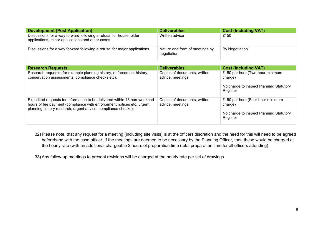| <b>Development (Post Application)</b>                                                                                 | <b>Deliverables</b>                           | <b>Cost (Including VAT)</b> |
|-----------------------------------------------------------------------------------------------------------------------|-----------------------------------------------|-----------------------------|
| Discussions for a way forward following a refusal for householder<br>applications, minor applications and other cases | Written advice                                | £150                        |
| Discussions for a way forward following a refusal for major applications                                              | Nature and form of meetings by<br>negotiation | By Negotiation              |

| <b>Research Requests</b>                                                                                                                                                                                           | <b>Deliverables</b>                              | <b>Cost (Including VAT)</b>                         |
|--------------------------------------------------------------------------------------------------------------------------------------------------------------------------------------------------------------------|--------------------------------------------------|-----------------------------------------------------|
| Research requests (for example planning history, enforcement history,<br>conservation assessments, compliance checks etc).                                                                                         | Copies of documents, written<br>advice, meetings | £150 per hour (Two-hour minimum<br>charge)          |
|                                                                                                                                                                                                                    |                                                  | No charge to inspect Planning Statutory<br>Register |
| Expedited requests for information to be delivered within 48 non-weekend<br>hours of fee payment (compliance with enforcement notices etc, urgent<br>planning history research, urgent advice, compliance checks). | Copies of documents, written<br>advice, meetings | £150 per hour (Four-hour minimum<br>charge)         |
|                                                                                                                                                                                                                    |                                                  | No charge to inspect Planning Statutory<br>Register |

32) Please note, that any request for a meeting (including site visits) is at the officers discretion and the need for this will need to be agreed beforehand with the case officer. If the meetings are deemed to be necessary by the Planning Officer, then these would be charged at the hourly rate (with an additional chargeable 2 hours of preparation time (total preparation time for all officers attending).

33) Any follow-up meetings to present revisions will be charged at the hourly rate per set of drawings.